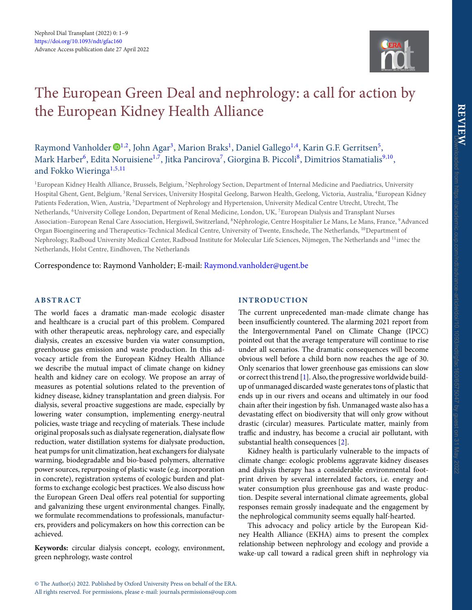<span id="page-0-3"></span>

# The European Green Deal and nephrology: a call for action by the European Kidney Health Alliance

## Raymond Vanholder  $\mathbf{D}^{1,2}$  $\mathbf{D}^{1,2}$  $\mathbf{D}^{1,2}$  $\mathbf{D}^{1,2}$ , John Agar<sup>[3](#page-0-2)</sup>, Marion Braks<sup>1</sup>, Daniel Gallego<sup>1[,4](#page-0-3)</sup>, Karin G.F. Gerritsen<sup>5</sup>, Mark Harber<sup>[6](#page-0-5)</sup>, Edita Noruisiene<sup>[1](#page-0-0)[,7](#page-0-6)</sup>, Jitka Pancirova<sup>7</sup>, Giorgina B. Piccoli<sup>8</sup>, Dimitrios Stamatialis<sup>[9](#page-0-8),10</sup>, and Fokko Wieringa<sup>1,[5](#page-0-4)[,11](#page-0-10)</sup>

<span id="page-0-5"></span><span id="page-0-4"></span><span id="page-0-2"></span><span id="page-0-0"></span><sup>1</sup>European Kidney Health Alliance, Brussels, Belgium, <sup>2</sup>Nephrology Section, Department of Internal Medicine and Paediatrics, University Hospital Ghent, Gent, Belgium, 3Renal Services, University Hospital Geelong, Barwon Health, Geelong, Victoria, Australia, 4European Kidney Patients Federation, Wien, Austria, <sup>5</sup>Department of Nephrology and Hypertension, University Medical Centre Utrecht, Utrecht, The Netherlands, 6University College London, Department of Renal Medicine, London, UK, 7European Dialysis and Transplant Nurses Association–European Renal Care Association, Hergiswil, Switzerland, 8Néphrologie, Centre Hospitalier Le Mans, Le Mans, France, 9Advanced Organ Bioengineering and Therapeutics-Technical Medical Centre, University of Twente, Enschede, The Netherlands, <sup>10</sup>Department of Nephrology, Radboud University Medical Center, Radboud Institute for Molecular Life Sciences, Nijmegen, The Netherlands and <sup>11</sup>imec the Netherlands, Holst Centre, Eindhoven, The Netherlands

## Correspondence to: Raymond Vanholder; E-mail: [Raymond.vanholder@ugent.be](mailto:Raymond.vanholder@ugent.be)

## **ABSTRACT**

The world faces a dramatic man-made ecologic disaster and healthcare is a crucial part of this problem. Compared with other therapeutic areas, nephrology care, and especially dialysis, creates an excessive burden via water consumption, greenhouse gas emission and waste production. In this advocacy article from the European Kidney Health Alliance we describe the mutual impact of climate change on kidney health and kidney care on ecology. We propose an array of measures as potential solutions related to the prevention of kidney disease, kidney transplantation and green dialysis. For dialysis, several proactive suggestions are made, especially by lowering water consumption, implementing energy-neutral policies, waste triage and recycling of materials. These include original proposals such as dialysate regeneration, dialysate flow reduction, water distillation systems for dialysate production, heat pumps for unit climatization, heat exchangers for dialysate warming, biodegradable and bio-based polymers, alternative power sources, repurposing of plastic waste (e.g. incorporation in concrete), registration systems of ecologic burden and platforms to exchange ecologic best practices. We also discuss how the European Green Deal offers real potential for supporting and galvanizing these urgent environmental changes. Finally, we formulate recommendations to professionals, manufacturers, providers and policymakers on how this correction can be achieved.

**Keywords:** circular dialysis concept, ecology, environment, green nephrology, waste control

## <span id="page-0-10"></span><span id="page-0-9"></span><span id="page-0-8"></span><span id="page-0-7"></span><span id="page-0-6"></span><span id="page-0-1"></span>**INTRODUCTION**

The current unprecedented man-made climate change has been insufficiently countered. The alarming 2021 report from the Intergovernmental Panel on Climate Change (IPCC) pointed out that the average temperature will continue to rise under all scenarios. The dramatic consequences will become obvious well before a child born now reaches the age of 30. Only scenarios that lower greenhouse gas emissions can slow or correct this trend [\[1\]](#page-7-0). Also, the progressive worldwide buildup of unmanaged discarded waste generates tons of plastic that ends up in our rivers and oceans and ultimately in our food chain after their ingestion by fish. Unmanaged waste also has a devastating effect on biodiversity that will only grow without drastic (circular) measures. Particulate matter, mainly from traffic and industry, has become a crucial air pollutant, with substantial health consequences [\[2\]](#page-7-1).

Kidney health is particularly vulnerable to the impacts of climate change: ecologic problems aggravate kidney diseases and dialysis therapy has a considerable environmental footprint driven by several interrelated factors, i.e. energy and water consumption plus greenhouse gas and waste production. Despite several international climate agreements, global responses remain grossly inadequate and the engagement by the nephrological community seems equally half-hearted.

This advocacy and policy article by the European Kidney Health Alliance (EKHA) aims to present the complex relationship between nephrology and ecology and provide a wake-up call toward a radical green shift in nephrology via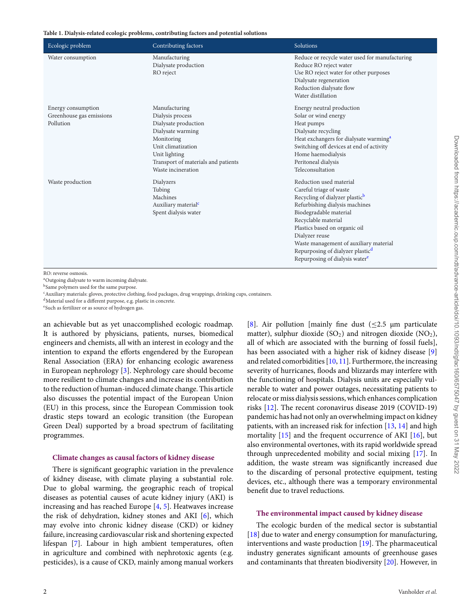#### <span id="page-1-5"></span>**Table 1. Dialysis-related ecologic problems, contributing factors and potential solutions**

| Ecologic problem         | Contributing factors                | Solutions                                          |
|--------------------------|-------------------------------------|----------------------------------------------------|
| Water consumption        | Manufacturing                       | Reduce or recycle water used for manufacturing     |
|                          | Dialysate production                | Reduce RO reject water                             |
|                          | RO reject                           | Use RO reject water for other purposes             |
|                          |                                     | Dialysate regeneration                             |
|                          |                                     | Reduction dialysate flow                           |
|                          |                                     | Water distillation                                 |
| Energy consumption       | Manufacturing                       | Energy neutral production                          |
| Greenhouse gas emissions | Dialysis process                    | Solar or wind energy                               |
| Pollution                | Dialysate production                | Heat pumps                                         |
|                          | Dialysate warming                   | Dialysate recycling                                |
|                          | Monitoring                          | Heat exchangers for dialysate warming <sup>a</sup> |
|                          | Unit climatization                  | Switching off devices at end of activity           |
|                          | Unit lighting                       | Home haemodialysis                                 |
|                          | Transport of materials and patients | Peritoneal dialysis                                |
|                          | Waste incineration                  | Teleconsultation                                   |
| Waste production         | Dialyzers                           | Reduction used material                            |
|                          | Tubing                              | Careful triage of waste                            |
|                          | Machines                            | Recycling of dialyzer plastic <sup>b</sup>         |
|                          | Auxiliary material <sup>c</sup>     | Refurbishing dialysis machines                     |
|                          | Spent dialysis water                | Biodegradable material                             |
|                          |                                     | Recyclable material                                |
|                          |                                     | Plastics based on organic oil                      |
|                          |                                     | Dialyzer reuse                                     |
|                          |                                     | Waste management of auxiliary material             |
|                          |                                     | Repurposing of dialyzer plastic <sup>d</sup>       |
|                          |                                     | Repurposing of dialysis water <sup>e</sup>         |
|                          |                                     |                                                    |

RO: reverse osmosis.

<span id="page-1-0"></span><sup>a</sup>Outgoing dialysate to warm incoming dialysate.

<span id="page-1-2"></span><sup>b</sup>Same polymers used for the same purpose.

<span id="page-1-1"></span> $c$ Auxiliary materials: gloves, protective clothing, food packages, drug wrappings, drinking cups, containers.

<span id="page-1-3"></span>dMaterial used for a different purpose, e.g. plastic in concrete.

<span id="page-1-4"></span><sup>e</sup>Such as fertilizer or as source of hydrogen gas.

an achievable but as yet unaccomplished ecologic roadmap. It is authored by physicians, patients, nurses, biomedical engineers and chemists, all with an interest in ecology and the intention to expand the efforts engendered by the European Renal Association (ERA) for enhancing ecologic awareness in European nephrology [\[3\]](#page-7-2). Nephrology care should become more resilient to climate changes and increase its contribution to the reduction of human-induced climate change. This article also discusses the potential impact of the European Union (EU) in this process, since the European Commission took drastic steps toward an ecologic transition (the European Green Deal) supported by a broad spectrum of facilitating programmes.

#### **Climate changes as causal factors of kidney disease**

There is significant geographic variation in the prevalence of kidney disease, with climate playing a substantial role. Due to global warming, the geographic reach of tropical diseases as potential causes of acute kidney injury (AKI) is increasing and has reached Europe [\[4,](#page-7-3) [5\]](#page-7-4). Heatwaves increase the risk of dehydration, kidney stones and AKI [\[6\]](#page-7-5), which may evolve into chronic kidney disease (CKD) or kidney failure, increasing cardiovascular risk and shortening expected lifespan [\[7\]](#page-7-6). Labour in high ambient temperatures, often in agriculture and combined with nephrotoxic agents (e.g. pesticides), is a cause of CKD, mainly among manual workers [\[8\]](#page-7-7). Air pollution [mainly fine dust  $(\leq 2.5 \mu m)$  particulate matter), sulphur dioxide  $(SO<sub>2</sub>)$  and nitrogen dioxide  $(NO<sub>2</sub>)$ , all of which are associated with the burning of fossil fuels], has been associated with a higher risk of kidney disease [\[9\]](#page-7-8) and related comorbidities [\[10,](#page-7-9) [11\]](#page-7-10). Furthermore, the increasing severity of hurricanes, floods and blizzards may interfere with the functioning of hospitals. Dialysis units are especially vulnerable to water and power outages, necessitating patients to relocate or miss dialysis sessions, which enhances complication risks [\[12\]](#page-7-11). The recent coronavirus disease 2019 (COVID-19) pandemic has had not only an overwhelming impact on kidney patients, with an increased risk for infection [\[13,](#page-7-12) [14\]](#page-7-13) and high mortality [\[15\]](#page-7-14) and the frequent occurrence of AKI [\[16\]](#page-7-15), but also environmental overtones, with its rapid worldwide spread through unprecedented mobility and social mixing [\[17\]](#page-7-16). In addition, the waste stream was significantly increased due to the discarding of personal protective equipment, testing devices, etc., although there was a temporary environmental benefit due to travel reductions.

#### **The environmental impact caused by kidney disease**

The ecologic burden of the medical sector is substantial [\[18\]](#page-7-17) due to water and energy consumption for manufacturing, interventions and waste production [\[19\]](#page-7-18). The pharmaceutical industry generates significant amounts of greenhouse gases and contaminants that threaten biodiversity [\[20\]](#page-7-19). However, in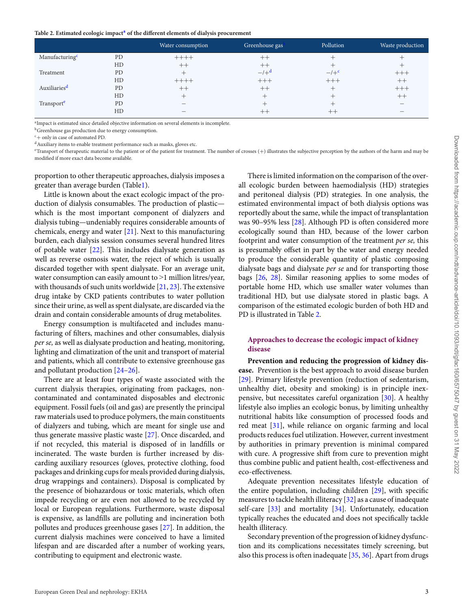#### <span id="page-2-5"></span>Table 2. Estimated ecologic impact<sup>a</sup> of the different elements of dialysis procurement

|                            |           | Water consumption | Greenhouse gas | Pollution              | Waste production |
|----------------------------|-----------|-------------------|----------------|------------------------|------------------|
| Manufacturing <sup>c</sup> | PD        | $+++++$           | $^{++}$        |                        |                  |
|                            | HD        | $++$              | $^{++}$        |                        |                  |
| Treatment                  | <b>PD</b> |                   | $-/+d$         | $-$ / $+$ <sup>c</sup> | $+++$            |
|                            | HD        | $+++++$           | $+++$          | $+++$                  | $^+$             |
| Auxiliaries <sup>d</sup>   | PD        | $++$              | $^{++}$        |                        | $+++$            |
|                            | HD        | $\mathrm{+}$      |                |                        | $++$             |
| Transport <sup>e</sup>     | <b>PD</b> |                   |                |                        |                  |
|                            | HD        | —                 |                | --                     |                  |

<span id="page-2-0"></span><sup>a</sup>Impact is estimated since detailed objective information on several elements is incomplete.

<span id="page-2-1"></span>**b**Greenhouse gas production due to energy consumption.

<span id="page-2-3"></span>

<span id="page-2-2"></span> $c_+$  only in case of automated PD.<br>dAuxiliary items to enable treatment performance such as masks, gloves etc.

<span id="page-2-4"></span>eTransport of therapeutic material to the patient or of the patient for treatment. The number of crosses (+) illustrates the subjective perception by the authors of the harm and may be modified if more exact data become available.

proportion to other therapeutic approaches, dialysis imposes a greater than average burden (Tabl[e1\)](#page-1-5).

Little is known about the exact ecologic impact of the production of dialysis consumables. The production of plastic which is the most important component of dialyzers and dialysis tubing—undeniably requires considerable amounts of chemicals, energy and water [\[21\]](#page-8-0). Next to this manufacturing burden, each dialysis session consumes several hundred litres of potable water [\[22\]](#page-8-1). This includes dialysate generation as well as reverse osmosis water, the reject of which is usually discarded together with spent dialysate. For an average unit, water consumption can easily amount to  $\geq 1$  million litres/year, with thousands of such units worldwide [\[21,](#page-8-0) [23\]](#page-8-2). The extensive drug intake by CKD patients contributes to water pollution since their urine, as well as spent dialysate, are discarded via the drain and contain considerable amounts of drug metabolites.

Energy consumption is multifaceted and includes manufacturing of filters, machines and other consumables, dialysis *per se,* as well as dialysate production and heating, monitoring, lighting and climatization of the unit and transport of material and patients, which all contribute to extensive greenhouse gas and pollutant production [\[24–](#page-8-3)[26\]](#page-8-4).

There are at least four types of waste associated with the current dialysis therapies, originating from packages, noncontaminated and contaminated disposables and electronic equipment. Fossil fuels (oil and gas) are presently the principal raw materials used to produce polymers, the main constituents of dialyzers and tubing, which are meant for single use and thus generate massive plastic waste [\[27\]](#page-8-5). Once discarded, and if not recycled, this material is disposed of in landfills or incinerated. The waste burden is further increased by discarding auxiliary resources (gloves, protective clothing, food packages and drinking cups for meals provided during dialysis, drug wrappings and containers). Disposal is complicated by the presence of biohazardous or toxic materials, which often impede recycling or are even not allowed to be recycled by local or European regulations. Furthermore, waste disposal is expensive, as landfills are polluting and incineration both pollutes and produces greenhouse gases [\[27\]](#page-8-5). In addition, the current dialysis machines were conceived to have a limited lifespan and are discarded after a number of working years, contributing to equipment and electronic waste.

There is limited information on the comparison of the overall ecologic burden between haemodialysis (HD) strategies and peritoneal dialysis (PD) strategies. In one analysis, the estimated environmental impact of both dialysis options was reportedly about the same, while the impact of transplantation was 90–95% less [\[28\]](#page-8-6). Although PD is often considered more ecologically sound than HD, because of the lower carbon footprint and water consumption of the treatment *per se,* this is presumably offset in part by the water and energy needed to produce the considerable quantity of plastic composing dialysate bags and dialysate *per se* and for transporting those bags [\[26,](#page-8-4) [28\]](#page-8-6). Similar reasoning applies to some modes of portable home HD, which use smaller water volumes than traditional HD, but use dialysate stored in plastic bags. A comparison of the estimated ecologic burden of both HD and PD is illustrated in Table [2.](#page-2-5)

## **Approaches to decrease the ecologic impact of kidney disease**

**Prevention and reducing the progression of kidney disease.** Prevention is the best approach to avoid disease burden [\[29\]](#page-8-7). Primary lifestyle prevention (reduction of sedentarism, unhealthy diet, obesity and smoking) is in principle inexpensive, but necessitates careful organization [\[30\]](#page-8-8). A healthy lifestyle also implies an ecologic bonus, by limiting unhealthy nutritional habits like consumption of processed foods and red meat [\[31\]](#page-8-9), while reliance on organic farming and local products reduces fuel utilization. However, current investment by authorities in primary prevention is minimal compared with cure. A progressive shift from cure to prevention might thus combine public and patient health, cost-effectiveness and eco-effectiveness.

Adequate prevention necessitates lifestyle education of the entire population, including children [\[29\]](#page-8-7), with specific measures to tackle health illiteracy [\[32\]](#page-8-10) as a cause of inadequate self-care [\[33\]](#page-8-11) and mortality [\[34\]](#page-8-12). Unfortunately, education typically reaches the educated and does not specifically tackle health illiteracy.

Secondary prevention of the progression of kidney dysfunction and its complications necessitates timely screening, but also this process is often inadequate [\[35,](#page-8-13) [36\]](#page-8-14). Apart from drugs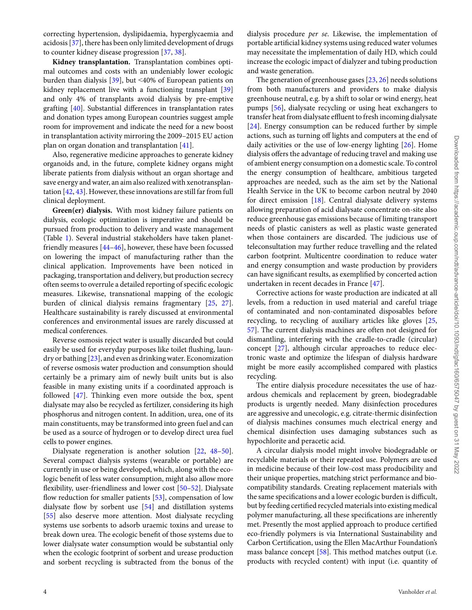correcting hypertension, dyslipidaemia, hyperglycaemia and acidosis [\[37\]](#page-8-15), there has been only limited development of drugs to counter kidney disease progression [\[37,](#page-8-15) [38\]](#page-8-16).

**Kidney transplantation.** Transplantation combines optimal outcomes and costs with an undeniably lower ecologic burden than dialysis [\[39\]](#page-8-17), but ˂40% of European patients on kidney replacement live with a functioning transplant [\[39\]](#page-8-17) and only 4% of transplants avoid dialysis by pre-emptive grafting [\[40\]](#page-8-18). Substantial differences in transplantation rates and donation types among European countries suggest ample room for improvement and indicate the need for a new boost in transplantation activity mirroring the 2009–2015 EU action plan on organ donation and transplantation [\[41\]](#page-8-19).

Also, regenerative medicine approaches to generate kidney organoids and, in the future, complete kidney organs might liberate patients from dialysis without an organ shortage and save energy and water, an aim also realized with xenotransplantation [\[42,](#page-8-20) [43\]](#page-8-21). However, these innovations are still far from full clinical deployment.

**Green(er) dialysis.** With most kidney failure patients on dialysis, ecologic optimization is imperative and should be pursued from production to delivery and waste management (Table [1\)](#page-1-5). Several industrial stakeholders have taken planetfriendly measures [\[44–](#page-8-22)[46\]](#page-8-23), however, these have been focussed on lowering the impact of manufacturing rather than the clinical application. Improvements have been noticed in packaging, transportation and delivery, but production secrecy often seems to overrule a detailed reporting of specific ecologic measures. Likewise, transnational mapping of the ecologic burden of clinical dialysis remains fragmentary [\[25,](#page-8-24) [27\]](#page-8-5). Healthcare sustainability is rarely discussed at environmental conferences and environmental issues are rarely discussed at medical conferences.

Reverse osmosis reject water is usually discarded but could easily be used for everyday purposes like toilet flushing, laundry or bathing [\[23\]](#page-8-2), and even as drinking water. Economization of reverse osmosis water production and consumption should certainly be a primary aim of newly built units but is also feasible in many existing units if a coordinated approach is followed [\[47\]](#page-8-25). Thinking even more outside the box, spent dialysate may also be recycled as fertilizer, considering its high phosphorus and nitrogen content. In addition, urea, one of its main constituents, may be transformed into green fuel and can be used as a source of hydrogen or to develop direct urea fuel cells to power engines.

Dialysate regeneration is another solution [\[22,](#page-8-1) [48–](#page-8-26)[50\]](#page-8-27). Several compact dialysis systems (wearable or portable) are currently in use or being developed, which, along with the ecologic benefit of less water consumption, might also allow more flexibility, user-friendliness and lower cost [\[50–](#page-8-27)[52\]](#page-8-28). Dialysate flow reduction for smaller patients [\[53\]](#page-8-29), compensation of low dialysate flow by sorbent use [\[54\]](#page-8-30) and distillation systems [\[55\]](#page-8-31) also deserve more attention. Most dialysate recycling systems use sorbents to adsorb uraemic toxins and urease to break down urea. The ecologic benefit of those systems due to lower dialysate water consumption would be substantial only when the ecologic footprint of sorbent and urease production and sorbent recycling is subtracted from the bonus of the

dialysis procedure *per se*. Likewise, the implementation of portable artificial kidney systems using reduced water volumes may necessitate the implementation of daily HD, which could increase the ecologic impact of dialyzer and tubing production and waste generation.

The generation of greenhouse gases [\[23,](#page-8-2) [26\]](#page-8-4) needs solutions from both manufacturers and providers to make dialysis greenhouse neutral, e.g. by a shift to solar or wind energy, heat pumps [\[56\]](#page-8-32), dialysate recycling or using heat exchangers to transfer heat from dialysate effluent to fresh incoming dialysate [\[24\]](#page-8-3). Energy consumption can be reduced further by simple actions, such as turning off lights and computers at the end of daily activities or the use of low-energy lighting [\[26\]](#page-8-4). Home dialysis offers the advantage of reducing travel and making use of ambient energy consumption on a domestic scale. To control the energy consumption of healthcare, ambitious targeted approaches are needed, such as the aim set by the National Health Service in the UK to become carbon neutral by 2040 for direct emission [\[18\]](#page-7-17). Central dialysate delivery systems allowing preparation of acid dialysate concentrate on-site also reduce greenhouse gas emissions because of limiting transport needs of plastic canisters as well as plastic waste generated when those containers are discarded. The judicious use of teleconsultation may further reduce travelling and the related carbon footprint. Multicentre coordination to reduce water and energy consumption and waste production by providers can have significant results, as exemplified by concerted action undertaken in recent decades in France [\[47\]](#page-8-25).

Corrective actions for waste production are indicated at all levels, from a reduction in used material and careful triage of contaminated and non-contaminated disposables before recycling, to recycling of auxiliary articles like gloves [\[25,](#page-8-24) [57\]](#page-8-33). The current dialysis machines are often not designed for dismantling, interfering with the cradle-to-cradle (circular) concept [\[27\]](#page-8-5), although circular approaches to reduce electronic waste and optimize the lifespan of dialysis hardware might be more easily accomplished compared with plastics recycling.

The entire dialysis procedure necessitates the use of hazardous chemicals and replacement by green, biodegradable products is urgently needed. Many disinfection procedures are aggressive and unecologic, e.g. citrate-thermic disinfection of dialysis machines consumes much electrical energy and chemical disinfection uses damaging substances such as hypochlorite and peracetic acid.

A circular dialysis model might involve biodegradable or recyclable materials or their repeated use. Polymers are used in medicine because of their low-cost mass producibility and their unique properties, matching strict performance and biocompatibility standards. Creating replacement materials with the same specifications and a lower ecologic burden is difficult, but by feeding certified recycled materials into existing medical polymer manufacturing, all these specifications are inherently met. Presently the most applied approach to produce certified eco-friendly polymers is via International Sustainability and Carbon Certification, using the Ellen MacArthur Foundation's mass balance concept [\[58\]](#page-8-34). This method matches output (i.e. products with recycled content) with input (i.e. quantity of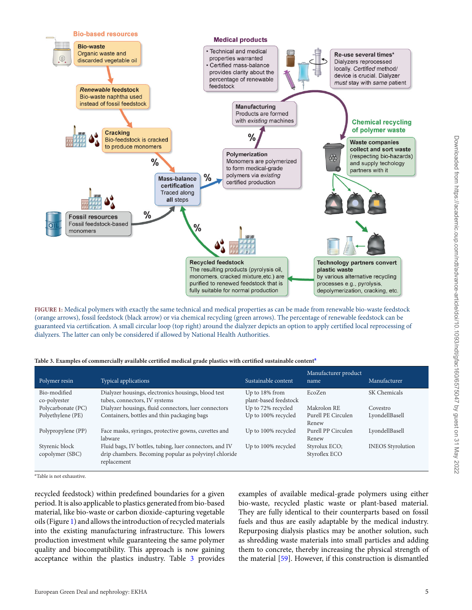<span id="page-4-1"></span>

**FIGURE 1:** Medical polymers with exactly the same technical and medical properties as can be made from renewable bio-waste feedstock (orange arrows), fossil feedstock (black arrow) or via chemical recycling (green arrows). The percentage of renewable feedstock can be guaranteed via certification. A small circular loop (top right) around the dialyzer depicts an option to apply certified local reprocessing of dialyzers. The latter can only be considered if allowed by National Health Authorities.

<span id="page-4-2"></span>

|  |  | Table 3. Examples of commercially available certified medical grade plastics with certified sustainable content <sup>a</sup> |  |  |  |  |
|--|--|------------------------------------------------------------------------------------------------------------------------------|--|--|--|--|
|--|--|------------------------------------------------------------------------------------------------------------------------------|--|--|--|--|

| Polymer resin                     | Typical applications                                                                                                            | Sustainable content                     | Manufacturer product<br>name   | Manufacturer             |
|-----------------------------------|---------------------------------------------------------------------------------------------------------------------------------|-----------------------------------------|--------------------------------|--------------------------|
| Bio-modified<br>co-polyester      | Dialyzer housings, electronics housings, blood test<br>tubes, connectors, IV systems                                            | Up to 18% from<br>plant-based feedstock | EcoZen                         | SK Chemicals             |
| Polycarbonate (PC)                | Dialyzer housings, fluid connectors, luer connectors                                                                            | Up to 72% recycled                      | Makrolon RE                    | Covestro                 |
| Polyethylene (PE)                 | Containers, bottles and thin packaging bags                                                                                     | Up to 100% recycled                     | Purell PE Circulen<br>Renew    | LyondellBasell           |
| Polypropylene (PP)                | Face masks, syringes, protective gowns, cuvettes and<br>labware                                                                 | Up to 100% recycled                     | Purell PP Circulen<br>Renew    | LyondellBasell           |
| Styrenic block<br>copolymer (SBC) | Fluid bags, IV bottles, tubing, luer connectors, and IV<br>drip chambers. Becoming popular as polyvinyl chloride<br>replacement | Up to 100% recycled                     | Styrolux ECO;<br>Styroflex ECO | <b>INEOS</b> Styrolution |

<span id="page-4-0"></span><sup>a</sup>Table is not exhaustive.

recycled feedstock) within predefined boundaries for a given period. It is also applicable to plastics generated from bio-based material, like bio-waste or carbon dioxide-capturing vegetable oils (Figure [1\)](#page-4-1) and allows the introduction of recycled materials into the existing manufacturing infrastructure. This lowers production investment while guaranteeing the same polymer quality and biocompatibility. This approach is now gaining acceptance within the plastics industry. Table [3](#page-4-2) provides

examples of available medical-grade polymers using either bio-waste, recycled plastic waste or plant-based material. They are fully identical to their counterparts based on fossil fuels and thus are easily adaptable by the medical industry. Repurposing dialysis plastics may be another solution, such as shredding waste materials into small particles and adding them to concrete, thereby increasing the physical strength of the material [\[59\]](#page-8-35). However, if this construction is dismantled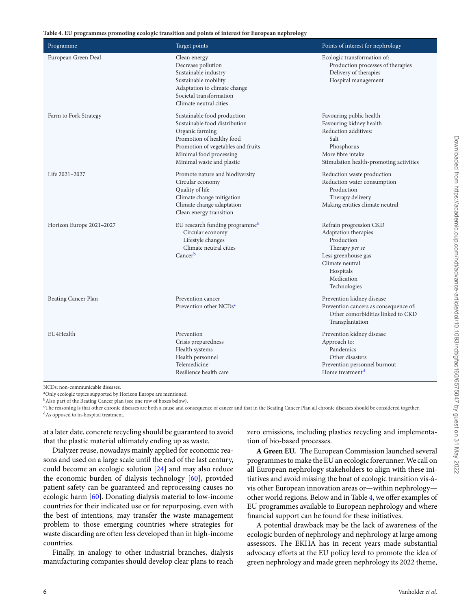<span id="page-5-4"></span>**Table 4. EU programmes promoting ecologic transition and points of interest for European nephrology**

| Programme                | Target points                                                                                                                                                                                              | Points of interest for nephrology                                                                                                                                    |
|--------------------------|------------------------------------------------------------------------------------------------------------------------------------------------------------------------------------------------------------|----------------------------------------------------------------------------------------------------------------------------------------------------------------------|
| European Green Deal      | Clean energy<br>Decrease pollution<br>Sustainable industry<br>Sustainable mobility<br>Adaptation to climate change<br>Societal transformation<br>Climate neutral cities                                    | Ecologic transformation of:<br>Production processes of therapies<br>Delivery of therapies<br>Hospital management                                                     |
| Farm to Fork Strategy    | Sustainable food production<br>Sustainable food distribution<br>Organic farming<br>Promotion of healthy food<br>Promotion of vegetables and fruits<br>Minimal food processing<br>Minimal waste and plastic | Favouring public health<br>Favouring kidney health<br>Reduction additives:<br>Salt<br>Phosphorus<br>More fibre intake<br>Stimulation health-promoting activities     |
| Life 2021-2027           | Promote nature and biodiversity<br>Circular economy<br>Quality of life<br>Climate change mitigation<br>Climate change adaptation<br>Clean energy transition                                                | Reduction waste production<br>Reduction water consumption<br>Production<br>Therapy delivery<br>Making entities climate neutral                                       |
| Horizon Europe 2021-2027 | EU research funding programme <sup>a</sup><br>Circular economy<br>Lifestyle changes<br>Climate neutral cities<br>Cancerb                                                                                   | Refrain progression CKD<br>Adaptation therapies<br>Production<br>Therapy per se<br>Less greenhouse gas<br>Climate neutral<br>Hospitals<br>Medication<br>Technologies |
| Beating Cancer Plan      | Prevention cancer<br>Prevention other NCDs <sup>c</sup>                                                                                                                                                    | Prevention kidney disease<br>Prevention cancers as consequence of:<br>Other comorbidities linked to CKD<br>Transplantation                                           |
| EU4Health                | Prevention<br>Crisis preparedness<br>Health systems<br>Health personnel<br>Telemedicine<br>Resilience health care                                                                                          | Prevention kidney disease<br>Approach to:<br>Pandemics<br>Other disasters<br>Prevention personnel burnout<br>Home treatment <sup>d</sup>                             |

<span id="page-5-0"></span>NCDs: non-communicable diseases.

<span id="page-5-1"></span>aOnly ecologic topics supported by Horizon Europe are mentioned.

<span id="page-5-2"></span>bAlso part of the Beating Cancer plan (see one row of boxes below).

<span id="page-5-3"></span>cThe reasoning is that other chronic diseases are both a cause and consequence of cancer and that in the Beating Cancer Plan all chronic diseases should be considered together.

<sup>d</sup>As opposed to in-hospital treatment.

at a later date, concrete recycling should be guaranteed to avoid that the plastic material ultimately ending up as waste.

Dialyzer reuse, nowadays mainly applied for economic reasons and used on a large scale until the end of the last century, could become an ecologic solution [\[24\]](#page-8-3) and may also reduce the economic burden of dialysis technology [\[60\]](#page-8-36), provided patient safety can be guaranteed and reprocessing causes no ecologic harm [\[60\]](#page-8-36). Donating dialysis material to low-income countries for their indicated use or for repurposing, even with the best of intentions, may transfer the waste management problem to those emerging countries where strategies for waste discarding are often less developed than in high-income countries.

Finally, in analogy to other industrial branches, dialysis manufacturing companies should develop clear plans to reach zero emissions, including plastics recycling and implementation of bio-based processes.

**A Green EU.** The European Commission launched several programmes to make the EU an ecologic forerunner.We call on all European nephrology stakeholders to align with these initiatives and avoid missing the boat of ecologic transition vis-àvis other European innovation areas or—within nephrology other world regions. Below and in Table [4,](#page-5-4) we offer examples of EU programmes available to European nephrology and where financial support can be found for these initiatives.

A potential drawback may be the lack of awareness of the ecologic burden of nephrology and nephrology at large among assessors. The EKHA has in recent years made substantial advocacy efforts at the EU policy level to promote the idea of green nephrology and made green nephrology its 2022 theme,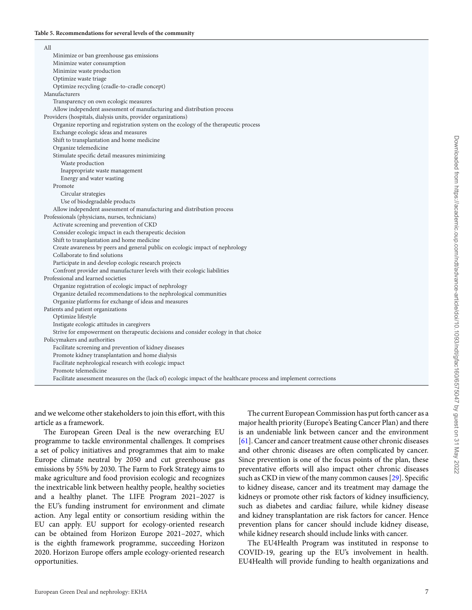<span id="page-6-0"></span>

| All                                                                                                                 |
|---------------------------------------------------------------------------------------------------------------------|
| Minimize or ban greenhouse gas emissions                                                                            |
| Minimize water consumption                                                                                          |
| Minimize waste production                                                                                           |
| Optimize waste triage                                                                                               |
| Optimize recycling (cradle-to-cradle concept)                                                                       |
| Manufacturers                                                                                                       |
| Transparency on own ecologic measures                                                                               |
| Allow independent assessment of manufacturing and distribution process                                              |
| Providers (hospitals, dialysis units, provider organizations)                                                       |
| Organize reporting and registration system on the ecology of the therapeutic process                                |
| Exchange ecologic ideas and measures                                                                                |
| Shift to transplantation and home medicine                                                                          |
| Organize telemedicine                                                                                               |
| Stimulate specific detail measures minimizing                                                                       |
| Waste production                                                                                                    |
| Inappropriate waste management                                                                                      |
| Energy and water wasting                                                                                            |
| Promote                                                                                                             |
| Circular strategies                                                                                                 |
| Use of biodegradable products                                                                                       |
| Allow independent assessment of manufacturing and distribution process                                              |
| Professionals (physicians, nurses, technicians)                                                                     |
| Activate screening and prevention of CKD                                                                            |
| Consider ecologic impact in each therapeutic decision                                                               |
| Shift to transplantation and home medicine                                                                          |
| Create awareness by peers and general public on ecologic impact of nephrology                                       |
| Collaborate to find solutions                                                                                       |
| Participate in and develop ecologic research projects                                                               |
| Confront provider and manufacturer levels with their ecologic liabilities                                           |
| Professional and learned societies                                                                                  |
| Organize registration of ecologic impact of nephrology                                                              |
| Organize detailed recommendations to the nephrological communities                                                  |
| Organize platforms for exchange of ideas and measures                                                               |
| Patients and patient organizations                                                                                  |
| Optimize lifestyle                                                                                                  |
| Instigate ecologic attitudes in caregivers                                                                          |
| Strive for empowerment on therapeutic decisions and consider ecology in that choice                                 |
| Policymakers and authorities                                                                                        |
| Facilitate screening and prevention of kidney diseases                                                              |
| Promote kidney transplantation and home dialysis                                                                    |
| Facilitate nephrological research with ecologic impact                                                              |
| Promote telemedicine                                                                                                |
| Facilitate assessment measures on the (lack of) ecologic impact of the healthcare process and implement corrections |

Downloaded from https://academic.oup.com/ndt/advance-article/doi/10.1093/ndt/gfac160/6575047 by guest on 31 May 2022 Downloaded from https://academic.oup.com/ndt/advance-article/doi/10.1093/ndt/gfac160/6575047 by guest on 31 May 2022

and we welcome other stakeholders to join this effort, with this article as a framework.

The European Green Deal is the new overarching EU programme to tackle environmental challenges. It comprises a set of policy initiatives and programmes that aim to make Europe climate neutral by 2050 and cut greenhouse gas emissions by 55% by 2030. The Farm to Fork Strategy aims to make agriculture and food provision ecologic and recognizes the inextricable link between healthy people, healthy societies and a healthy planet. The LIFE Program 2021–2027 is the EU's funding instrument for environment and climate action. Any legal entity or consortium residing within the EU can apply. EU support for ecology-oriented research can be obtained from Horizon Europe 2021–2027, which is the eighth framework programme, succeeding Horizon 2020. Horizon Europe offers ample ecology-oriented research opportunities.

The current European Commission has put forth cancer as a major health priority (Europe's Beating Cancer Plan) and there is an undeniable link between cancer and the environment [\[61\]](#page-8-37). Cancer and cancer treatment cause other chronic diseases and other chronic diseases are often complicated by cancer. Since prevention is one of the focus points of the plan, these preventative efforts will also impact other chronic diseases such as CKD in view of the many common causes [\[29\]](#page-8-7). Specific to kidney disease, cancer and its treatment may damage the kidneys or promote other risk factors of kidney insufficiency, such as diabetes and cardiac failure, while kidney disease and kidney transplantation are risk factors for cancer. Hence prevention plans for cancer should include kidney disease, while kidney research should include links with cancer.

The EU4Health Program was instituted in response to COVID-19, gearing up the EU's involvement in health. EU4Health will provide funding to health organizations and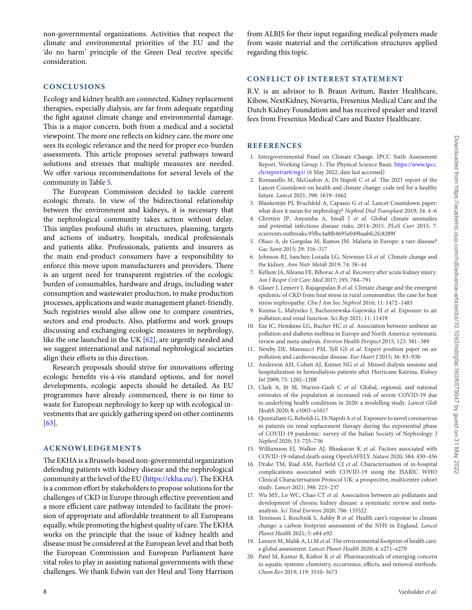non-governmental organizations. Activities that respect the climate and environmental priorities of the EU and the 'do no harm' principle of the Green Deal receive specific consideration.

## **CONCLUSIONS**

Ecology and kidney health are connected. Kidney replacement therapies, especially dialysis, are far from adequate regarding the fight against climate change and environmental damage. This is a major concern, both from a medical and a societal viewpoint. The more one reflects on kidney care, the more one sees its ecologic relevance and the need for proper eco-burden assessments. This article proposes several pathways toward solutions and stresses that multiple measures are needed. We offer various recommendations for several levels of the community in Table [5.](#page-6-0)

The European Commission decided to tackle current ecologic threats. In view of the bidirectional relationship between the environment and kidneys, it is necessary that the nephrological community takes action without delay. This implies profound shifts in structures, planning, targets and actions of industry, hospitals, medical professionals and patients alike. Professionals, patients and insurers as the main end-product consumers have a responsibility to enforce this move upon manufacturers and providers. There is an urgent need for transparent registries of the ecologic burden of consumables, hardware and drugs, including water consumption and wastewater production, to make production processes, applications and waste management planet-friendly. Such registries would also allow one to compare countries, sectors and end products. Also, platforms and work groups discussing and exchanging ecologic measures in nephrology, like the one launched in the UK [\[62\]](#page-8-38), are urgently needed and we suggest international and national nephrological societies align their efforts in this direction.

Research proposals should strive for innovations offering ecologic benefits vis-à-vis standard options, and for novel developments, ecologic aspects should be detailed. As EU programmes have already commenced, there is no time to waste for European nephrology to keep up with ecological investments that are quickly gathering speed on other continents [\[63\]](#page-8-39).

### **ACKNOWLEDGEMENTS**

The EKHA is a Brussels-based non-governmental organization defending patients with kidney disease and the nephrological community at the level of the EU [\(https://ekha.eu/\)](https://ekha.eu/). The EKHA is a common effort by stakeholders to propose solutions for the challenges of CKD in Europe through effective prevention and a more efficient care pathway intended to facilitate the provision of appropriate and affordable treatment to all Europeans equally, while promoting the highest quality of care. The EKHA works on the principle that the issue of kidney health and disease must be considered at the European level and that both the European Commission and European Parliament have vital roles to play in assisting national governments with these challenges. We thank Edwin van der Heul and Tony Harrison

from ALBIS for their input regarding medical polymers made from waste material and the certification structures applied regarding this topic.

## **CONFLICT OF INTEREST STATEMENT**

R.V. is an advisor to B. Braun Avitum, Baxter Healthcare, Kibow, NextKidney, Novartis, Fresenius Medical Care and the Dutch Kidney Foundation and has received speaker and travel fees from Fresenius Medical Care and Baxter Healthcare.

## **REFERENCES**

- <span id="page-7-0"></span>1. Intergovernmental Panel on Climate Change. IPCC Sixth Assessment [Report. Working Group 1: The Physical Science Basis.](https://www.ipcc.ch/report/ar6/wg1/) https://www.ipcc. ch/report/ar6/wg1/ (6 May 2022, date last accessed)
- <span id="page-7-1"></span>2. Romanello M, McGushin A, Di Napoli C *et al.* The 2021 report of the Lancet Countdown on health and climate change: code red for a healthy future. *Lancet* 2021; 398: 1619–1662
- <span id="page-7-2"></span>3. Blankestijn PJ, Bruchfeld A, Capasso G *et al.* Lancet Countdown paper: what does it mean for nephrology? *Nephrol Dial Transplant* 2019; 34: 4–6
- <span id="page-7-3"></span>4. Chretien JP, Anyamba A, Small J *et al.* Global climate anomalies and potential infectious disease risks: 2014–2015. *PLoS Curr* 2015; 7: ecurrents.outbreaks.95fbc4a8fb4695e049baabfc2fc8289f
- <span id="page-7-4"></span>5. Olaso A, de Gorgolas M, Ramos JM. Malaria in Europe: a rare disease? *Gac Sanit* 2015; 29: 316–317
- <span id="page-7-5"></span>6. Johnson RJ, Sanchez-Lozada LG, Newman LS *et al.* Climate change and the kidney. *Ann Nutr Metab* 2019; 74: 38–44
- <span id="page-7-6"></span>7. Kellum JA, Sileanu FE, Bihorac A *et al.* Recovery after acute kidney injury. *Am J Respir Crit Care Med* 2017; 195: 784–791
- <span id="page-7-7"></span>8. Glaser J, Lemery J, Rajagopalan B *et al.* Climate change and the emergent epidemic of CKD from heat stress in rural communities: the case for heat stress nephropathy. *Clin J Am Soc Nephrol* 2016; 11: 1472–1483
- <span id="page-7-8"></span>9. Kuzma L, Malyszko J, Bachorzewska-Gajewska H *et al.* Exposure to air pollution and renal function. *Sci Rep* 2021; 11: 11419
- <span id="page-7-9"></span>10. Eze IC, Hemkens LG, Bucher HC *et al.* Association between ambient air pollution and diabetes mellitus in Europe and North America: systematic review and meta-analysis. *Environ Health Perspect* 2015; 123: 381–389
- <span id="page-7-10"></span>11. Newby DE, Mannucci PM, Tell GS *et al.* Expert position paper on air pollution and cardiovascular disease. *Eur Heart J* 2015; 36: 83–93b
- <span id="page-7-11"></span>12. Anderson AH, Cohen AJ, Kutner NG *et al.* Missed dialysis sessions and hospitalization in hemodialysis patients after Hurricane Katrina. *Kidney Int* 2009; 75: 1202–1208
- <span id="page-7-12"></span>13. Clark A, Jit M, Warren-Gash C *et al.* Global, regional, and national estimates of the population at increased risk of severe COVID-19 due to underlying health conditions in 2020: a modelling study. *Lancet Glob Health* 2020; 8: e1003–e1017
- <span id="page-7-13"></span>14. Quintaliani G, Reboldi G, Di Napoli A*et al.* Exposure to novel coronavirus in patients on renal replacement therapy during the exponential phase of COVID-19 pandemic: survey of the Italian Society of Nephrology. *J Nephrol* 2020; 33: 725–736
- <span id="page-7-14"></span>15. Williamson EJ, Walker AJ, Bhaskaran K *et al.* Factors associated with COVID-19-related death using OpenSAFELY. *Nature* 2020; 584: 430–436
- <span id="page-7-15"></span>16. Drake TM, Riad AM, Fairfield CJ *et al.* Characterisation of in-hospital complications associated with COVID-19 using the ISARIC WHO Clinical Characterisation Protocol UK: a prospective, multicentre cohort study. *Lancet* 2021; 398: 223–237
- <span id="page-7-16"></span>17. Wu MY, Lo WC, Chao CT *et al.* Association between air pollutants and development of chronic kidney disease: a systematic review and metaanalysis. *Sci Total Environ* 2020; 706: 135522
- <span id="page-7-17"></span>18. Tennison I, Roschnik S, Ashby B *et al.* Health care's response to climate change: a carbon footprint assessment of the NHS in England. *Lancet Planet Health* 2021; 5: e84-e92
- <span id="page-7-18"></span>19. Lenzen M, Malik A, Li M *et al.* The environmental footprint of health care: a global assessment. *Lancet Planet Health* 2020; 4: e271–e279
- <span id="page-7-19"></span>20. Patel M, Kumar R, Kishor K *et al.* Pharmaceuticals of emerging concern in aquatic systems: chemistry, occurrence, effects, and removal methods. *Chem Rev* 2019; 119: 3510–3673